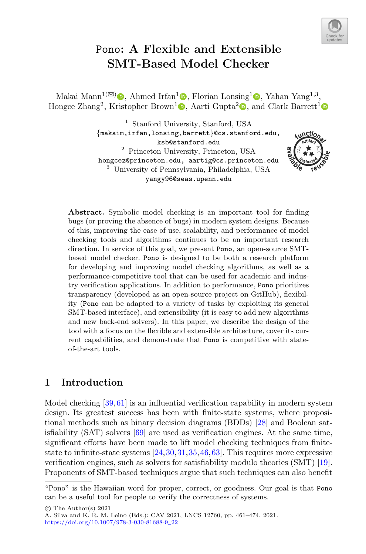

# Pono**: A Flexible and Extensible SMT-Based Model Checker**

Makai Mann<sup>1( $\boxtimes$ )</sup>  $\Box$ [,](http://orcid.org/0000-0002-5715-7231) Ahmed Irfan<sup>1</sup> $\Box$ , Florian Lonsing<sup>1</sup> $\Box$ , Yahan Yang<sup>1,3</sup>, Hongce Zhang<sup>2</sup>[,](http://orcid.org/0000-0002-9374-9138) Kristopher Brown<sup>[1](http://orcid.org/0000-0002-9522-3084)</sup> $\bullet$ , Aarti Gupta<sup>[2](http://orcid.org/0000-0001-6676-9400)</sup> $\bullet$ , and Clark Barrett<sup>1</sup> $\bullet$ 

> <sup>1</sup> Stanford University, Stanford, USA *{*makaim,irfan,lonsing,barrett*}*@cs.stanford.edu, ksb@stanford.edu <sup>2</sup> Princeton University, Princeton, USA hongcez@princeton.edu, aartig@cs.princeton.edu <sup>3</sup> University of Pennsylvania, Philadelphia, USA yangy96@seas.upenn.edu



**Abstract.** Symbolic model checking is an important tool for finding bugs (or proving the absence of bugs) in modern system designs. Because of this, improving the ease of use, scalability, and performance of model checking tools and algorithms continues to be an important research direction. In service of this goal, we present Pono, an open-source SMTbased model checker. Pono is designed to be both a research platform for developing and improving model checking algorithms, as well as a performance-competitive tool that can be used for academic and industry verification applications. In addition to performance, Pono prioritizes transparency (developed as an open-source project on GitHub), flexibility (Pono can be adapted to a variety of tasks by exploiting its general SMT-based interface), and extensibility (it is easy to add new algorithms and new back-end solvers). In this paper, we describe the design of the tool with a focus on the flexible and extensible architecture, cover its current capabilities, and demonstrate that Pono is competitive with stateof-the-art tools.

#### **1 Introduction**

Model checking [\[39](#page-11-0)[,61](#page-12-0)] is an influential verification capability in modern system design. Its greatest success has been with finite-state systems, where propositional methods such as binary decision diagrams (BDDs) [\[28](#page-11-1)] and Boolean satisfiability (SAT) solvers [\[69\]](#page-12-1) are used as verification engines. At the same time, significant efforts have been made to lift model checking techniques from finitestate to infinite-state systems [\[24,](#page-11-2)[30](#page-11-3)[,31](#page-11-4),[35,](#page-11-5)[46](#page-12-2)[,63](#page-12-3)]. This requires more expressive verification engines, such as solvers for satisfiability modulo theories (SMT) [\[19\]](#page-11-6). Proponents of SMT-based techniques argue that such techniques can also benefit

<sup>&</sup>quot;Pono" is the Hawaiian word for proper, correct, or goodness. Our goal is that Pono can be a useful tool for people to verify the correctness of systems.

<sup>-</sup>c The Author(s) 2021

A. Silva and K. R. M. Leino (Eds.): CAV 2021, LNCS 12760, pp. 461–474, 2021. [https://doi.org/10.1007/978-3-030-81688-9](https://doi.org/10.1007/978-3-030-81688-9_22)\_22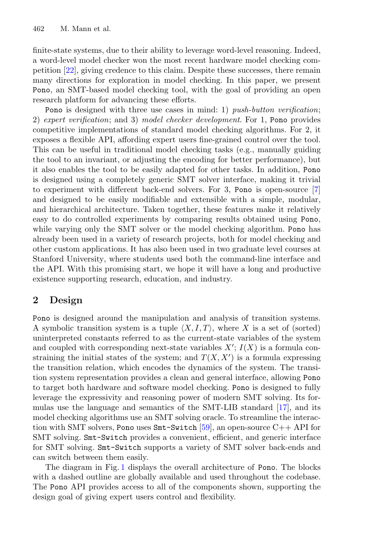finite-state systems, due to their ability to leverage word-level reasoning. Indeed, a word-level model checker won the most recent hardware model checking competition [\[22\]](#page-11-7), giving credence to this claim. Despite these successes, there remain many directions for exploration in model checking. In this paper, we present Pono, an SMT-based model checking tool, with the goal of providing an open research platform for advancing these efforts.

Pono is designed with three use cases in mind: 1) *push-button verification*; 2) *expert verification*; and 3) *model checker development*. For 1, Pono provides competitive implementations of standard model checking algorithms. For 2, it exposes a flexible API, affording expert users fine-grained control over the tool. This can be useful in traditional model checking tasks (e.g., manually guiding the tool to an invariant, or adjusting the encoding for better performance), but it also enables the tool to be easily adapted for other tasks. In addition, Pono is designed using a completely generic SMT solver interface, making it trivial to experiment with different back-end solvers. For 3, Pono is open-source [\[7](#page-10-0)] and designed to be easily modifiable and extensible with a simple, modular, and hierarchical architecture. Taken together, these features make it relatively easy to do controlled experiments by comparing results obtained using Pono, while varying only the SMT solver or the model checking algorithm. Pono has already been used in a variety of research projects, both for model checking and other custom applications. It has also been used in two graduate level courses at Stanford University, where students used both the command-line interface and the API. With this promising start, we hope it will have a long and productive existence supporting research, education, and industry.

#### <span id="page-1-0"></span>**2 Design**

Pono is designed around the manipulation and analysis of transition systems. A symbolic transition system is a tuple  $\langle X, I, T \rangle$ , where *X* is a set of (sorted) uninterpreted constants referred to as the current-state variables of the system and coupled with corresponding next-state variables  $X'$ ;  $I(X)$  is a formula constraining the initial states of the system; and  $T(X, X')$  is a formula expressing the transition relation, which encodes the dynamics of the system. The transition system representation provides a clean and general interface, allowing Pono to target both hardware and software model checking. Pono is designed to fully leverage the expressivity and reasoning power of modern SMT solving. Its formulas use the language and semantics of the SMT-LIB standard [\[17\]](#page-10-1), and its model checking algorithms use an SMT solving oracle. To streamline the interaction with SMT solvers, Pono uses  $\text{Smt-Switch}$  [\[59](#page-12-4)], an open-source  $C_{++}$  API for SMT solving. Smt-Switch provides a convenient, efficient, and generic interface for SMT solving. Smt-Switch supports a variety of SMT solver back-ends and can switch between them easily.

The diagram in Fig. [1](#page-2-0) displays the overall architecture of Pono. The blocks with a dashed outline are globally available and used throughout the codebase. The Pono API provides access to all of the components shown, supporting the design goal of giving expert users control and flexibility.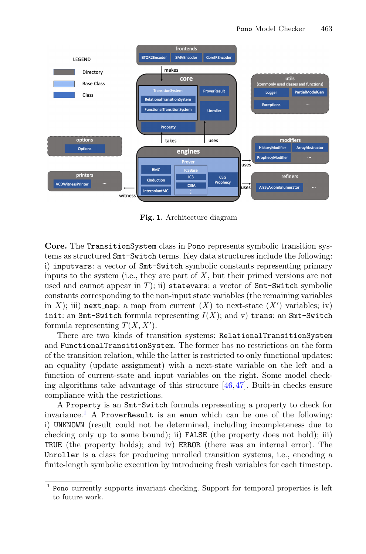

<span id="page-2-0"></span>**Fig. 1.** Architecture diagram

**Core.** The TransitionSystem class in Pono represents symbolic transition systems as structured Smt-Switch terms. Key data structures include the following: i) inputvars: a vector of Smt-Switch symbolic constants representing primary inputs to the system (i.e., they are part of *X*, but their primed versions are not used and cannot appear in  $T$ ); ii) statevars: a vector of  $Smt-Switch$  symbolic constants corresponding to the non-input state variables (the remaining variables in *X*); iii) next map: a map from current  $(X)$  to next-state  $(X')$  variables; iv) init: an  $Smt-Switch$  formula representing  $I(X)$ ; and v) trans: an  $Smt-Switch$ formula representing  $T(X, X')$ .

There are two kinds of transition systems: RelationalTransitionSystem and FunctionalTransitionSystem. The former has no restrictions on the form of the transition relation, while the latter is restricted to only functional updates: an equality (update assignment) with a next-state variable on the left and a function of current-state and input variables on the right. Some model checking algorithms take advantage of this structure  $[46,47]$  $[46,47]$ . Built-in checks ensure compliance with the restrictions.

A Property is an Smt-Switch formula representing a property to check for invariance.<sup>[1](#page-2-1)</sup> A ProverResult is an enum which can be one of the following: i) UNKNOWN (result could not be determined, including incompleteness due to checking only up to some bound); ii) FALSE (the property does not hold); iii) TRUE (the property holds); and iv) ERROR (there was an internal error). The Unroller is a class for producing unrolled transition systems, i.e., encoding a finite-length symbolic execution by introducing fresh variables for each timestep.

<span id="page-2-1"></span><sup>1</sup> Pono currently supports invariant checking. Support for temporal properties is left to future work.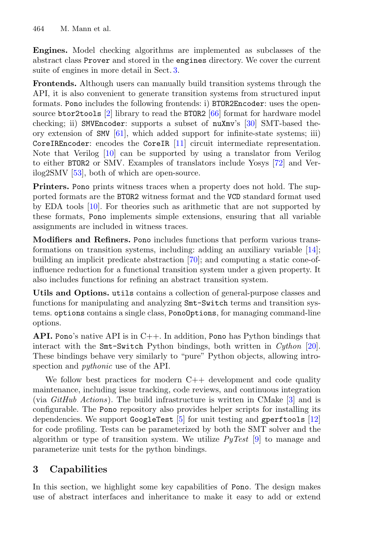**Engines.** Model checking algorithms are implemented as subclasses of the abstract class Prover and stored in the engines directory. We cover the current suite of engines in more detail in Sect. [3.](#page-3-0)

**Frontends.** Although users can manually build transition systems through the API, it is also convenient to generate transition systems from structured input formats. Pono includes the following frontends: i) BTOR2Encoder: uses the opensource btor2tools  $[2]$  library to read the BTOR2  $[66]$  format for hardware model checking; ii) SMVEncoder: supports a subset of nuXmv's [\[30](#page-11-3)] SMT-based theory extension of  $SW [61]$  $SW [61]$ , which added support for infinite-state systems; iii) CoreIREncoder: encodes the CoreIR [\[11](#page-10-3)] circuit intermediate representation. Note that Verilog [\[10\]](#page-10-4) can be supported by using a translator from Verilog to either BTOR2 or SMV. Examples of translators include Yosys [\[72\]](#page-13-0) and Verilog2SMV [\[53](#page-12-7)], both of which are open-source.

**Printers.** Pono prints witness traces when a property does not hold. The supported formats are the BTOR2 witness format and the VCD standard format used by EDA tools [\[10](#page-10-4)]. For theories such as arithmetic that are not supported by these formats, Pono implements simple extensions, ensuring that all variable assignments are included in witness traces.

**Modifiers and Refiners.** Pono includes functions that perform various transformations on transition systems, including: adding an auxiliary variable [\[14\]](#page-10-5); building an implicit predicate abstraction [\[70](#page-12-8)]; and computing a static cone-ofinfluence reduction for a functional transition system under a given property. It also includes functions for refining an abstract transition system.

**Utils and Options.** utils contains a collection of general-purpose classes and functions for manipulating and analyzing Smt-Switch terms and transition systems. options contains a single class, PonoOptions, for managing command-line options.

**API.** Pono's native API is in  $C_{++}$ . In addition, Pono has Python bindings that interact with the Smt-Switch Python bindings, both written in *Cython* [\[20\]](#page-11-8). These bindings behave very similarly to "pure" Python objects, allowing introspection and *pythonic* use of the API.

We follow best practices for modern  $C++$  development and code quality maintenance, including issue tracking, code reviews, and continuous integration (via *GitHub Actions*). The build infrastructure is written in CMake [\[3\]](#page-10-6) and is configurable. The Pono repository also provides helper scripts for installing its dependencies. We support GoogleTest [\[5\]](#page-10-7) for unit testing and gperftools [\[12](#page-10-8)] for code profiling. Tests can be parameterized by both the SMT solver and the algorithm or type of transition system. We utilize *PyTest* [\[9](#page-10-9)] to manage and parameterize unit tests for the python bindings.

# <span id="page-3-0"></span>**3 Capabilities**

In this section, we highlight some key capabilities of Pono. The design makes use of abstract interfaces and inheritance to make it easy to add or extend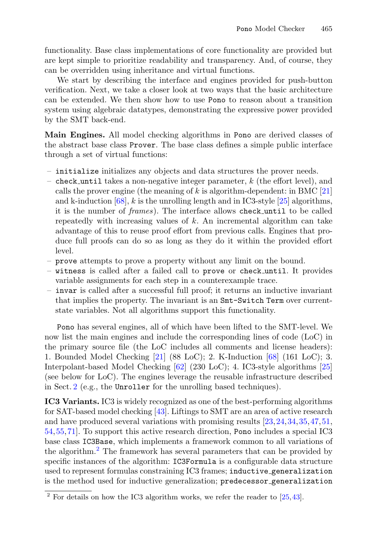functionality. Base class implementations of core functionality are provided but are kept simple to prioritize readability and transparency. And, of course, they can be overridden using inheritance and virtual functions.

We start by describing the interface and engines provided for push-button verification. Next, we take a closer look at two ways that the basic architecture can be extended. We then show how to use Pono to reason about a transition system using algebraic datatypes, demonstrating the expressive power provided by the SMT back-end.

**Main Engines.** All model checking algorithms in Pono are derived classes of the abstract base class Prover. The base class defines a simple public interface through a set of virtual functions:

- initialize initializes any objects and data structures the prover needs.
- check until takes a non-negative integer parameter, *k* (the effort level), and calls the prover engine (the meaning of *k* is algorithm-dependent: in BMC [\[21\]](#page-11-9) and k-induction [\[68\]](#page-12-9), *k* is the unrolling length and in IC3-style [\[25](#page-11-10)] algorithms, it is the number of *frames*). The interface allows check until to be called repeatedly with increasing values of *k*. An incremental algorithm can take advantage of this to reuse proof effort from previous calls. Engines that produce full proofs can do so as long as they do it within the provided effort level.
- prove attempts to prove a property without any limit on the bound.
- witness is called after a failed call to prove or check until. It provides variable assignments for each step in a counterexample trace.
- invar is called after a successful full proof; it returns an inductive invariant that implies the property. The invariant is an Smt-Switch Term over currentstate variables. Not all algorithms support this functionality.

Pono has several engines, all of which have been lifted to the SMT-level. We now list the main engines and include the corresponding lines of code (LoC) in the primary source file (the LoC includes all comments and license headers): 1. Bounded Model Checking [\[21](#page-11-9)] (88 LoC); 2. K-Induction [\[68](#page-12-9)] (161 LoC); 3. Interpolant-based Model Checking [\[62](#page-12-10)] (230 LoC); 4. IC3-style algorithms [\[25\]](#page-11-10) (see below for LoC). The engines leverage the reusable infrastructure described in Sect. [2](#page-1-0) (e.g., the Unroller for the unrolling based techniques).

**IC3 Variants.** IC3 is widely recognized as one of the best-performing algorithms for SAT-based model checking [\[43\]](#page-11-11). Liftings to SMT are an area of active research and have produced several variations with promising results [\[23](#page-11-12),[24](#page-11-2)[,34](#page-11-13)[,35](#page-11-5),[47,](#page-12-5)[51,](#page-12-11) [54,](#page-12-12)[55](#page-12-13)[,71\]](#page-13-1). To support this active research direction, Pono includes a special IC3 base class IC3Base, which implements a framework common to all variations of the algorithm.[2](#page-4-0) The framework has several parameters that can be provided by specific instances of the algorithm: IC3Formula is a configurable data structure used to represent formulas constraining IC3 frames; inductive generalization is the method used for inductive generalization; predecessor generalization

<span id="page-4-0"></span> $2$  For details on how the IC3 algorithm works, we refer the reader to [\[25,](#page-11-10)[43](#page-11-11)].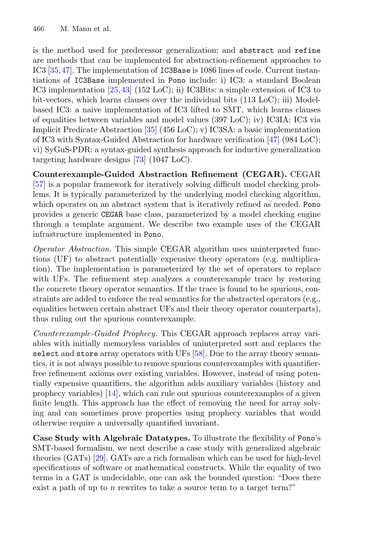is the method used for predecessor generalization; and abstract and refine are methods that can be implemented for abstraction-refinement approaches to IC3 [\[35](#page-11-5),[47\]](#page-12-5). The implementation of IC3Base is 1086 lines of code. Current instantiations of IC3Base implemented in Pono include: i) IC3: a standard Boolean IC3 implementation [\[25,](#page-11-10)[43\]](#page-11-11) (152 LoC); ii) IC3Bits: a simple extension of IC3 to bit-vectors, which learns clauses over the individual bits (113 LoC); iii) Modelbased IC3: a naive implementation of IC3 lifted to SMT, which learns clauses of equalities between variables and model values (397 LoC); iv) IC3IA: IC3 via Implicit Predicate Abstraction [\[35](#page-11-5)] (456 LoC); v) IC3SA: a basic implementation of IC3 with Syntax-Guided Abstraction for hardware verification [\[47](#page-12-5)] (984 LoC); vi) SyGuS-PDR: a syntax-guided synthesis approach for inductive generalization targeting hardware designs [\[73\]](#page-13-2) (1047 LoC).

**Counterexample-Guided Abstraction Refinement (CEGAR).** CEGAR [\[57](#page-12-14)] is a popular framework for iteratively solving difficult model checking problems. It is typically parameterized by the underlying model checking algorithm, which operates on an abstract system that is iteratively refined as needed. Pono provides a generic CEGAR base class, parameterized by a model checking engine through a template argument. We describe two example uses of the CEGAR infrastructure implemented in Pono.

*Operator Abstraction.* This simple CEGAR algorithm uses uninterpreted functions (UF) to abstract potentially expensive theory operators (e.g. multiplication). The implementation is parameterized by the set of operators to replace with UFs. The refinement step analyzes a counterexample trace by restoring the concrete theory operator semantics. If the trace is found to be spurious, constraints are added to enforce the real semantics for the abstracted operators (e.g., equalities between certain abstract UFs and their theory operator counterparts), thus ruling out the spurious counterexample.

*Counterexample-Guided Prophecy.* This CEGAR approach replaces array variables with initially memoryless variables of uninterpreted sort and replaces the select and store array operators with UFs [\[58\]](#page-12-15). Due to the array theory semantics, it is not always possible to remove spurious counterexamples with quantifierfree refinement axioms over existing variables. However, instead of using potentially expensive quantifiers, the algorithm adds auxiliary variables (history and prophecy variables) [\[14](#page-10-5)], which can rule out spurious counterexamples of a given finite length. This approach has the effect of removing the need for array solving and can sometimes prove properties using prophecy variables that would otherwise require a universally quantified invariant.

**Case Study with Algebraic Datatypes.** To illustrate the flexibility of Pono's SMT-based formalism, we next describe a case study with generalized algebraic theories (GATs) [\[29\]](#page-11-14). GATs are a rich formalism which can be used for high-level specifications of software or mathematical constructs. While the equality of two terms in a GAT is undecidable, one can ask the bounded question: "Does there exist a path of up to *n* rewrites to take a source term to a target term?"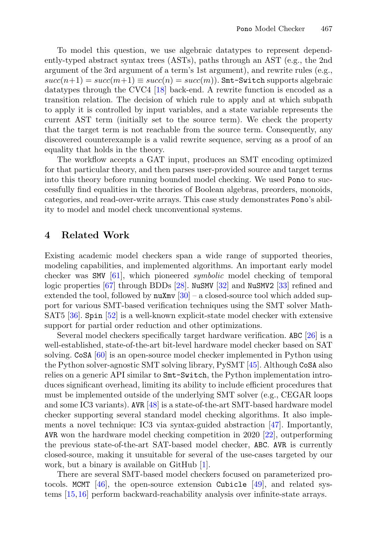To model this question, we use algebraic datatypes to represent dependently-typed abstract syntax trees (ASTs), paths through an AST (e.g., the 2nd argument of the 3rd argument of a term's 1st argument), and rewrite rules (e.g.,  $succ(n+1) = succ(m+1) \equiv succ(n) = succ(m)$ . Smt-Switch supports algebraic datatypes through the CVC4 [\[18\]](#page-10-10) back-end. A rewrite function is encoded as a transition relation. The decision of which rule to apply and at which subpath to apply it is controlled by input variables, and a state variable represents the current AST term (initially set to the source term). We check the property that the target term is not reachable from the source term. Consequently, any discovered counterexample is a valid rewrite sequence, serving as a proof of an equality that holds in the theory.

The workflow accepts a GAT input, produces an SMT encoding optimized for that particular theory, and then parses user-provided source and target terms into this theory before running bounded model checking. We used Pono to successfully find equalities in the theories of Boolean algebras, preorders, monoids, categories, and read-over-write arrays. This case study demonstrates Pono's ability to model and model check unconventional systems.

#### **4 Related Work**

Existing academic model checkers span a wide range of supported theories, modeling capabilities, and implemented algorithms. An important early model checker was SMV [\[61\]](#page-12-0), which pioneered *symbolic* model checking of temporal logic properties [\[67](#page-12-16)] through BDDs [\[28\]](#page-11-1). NuSMV [\[32](#page-11-15)] and NuSMV2 [\[33\]](#page-11-16) refined and extended the tool, followed by  $\texttt{nuXmv}$  [\[30\]](#page-11-3) – a closed-source tool which added support for various SMT-based verification techniques using the SMT solver Math-SAT5 [\[36\]](#page-11-17). Spin [\[52](#page-12-17)] is a well-known explicit-state model checker with extensive support for partial order reduction and other optimizations.

Several model checkers specifically target hardware verification. ABC [\[26\]](#page-11-18) is a well-established, state-of-the-art bit-level hardware model checker based on SAT solving. CoSA [\[60\]](#page-12-18) is an open-source model checker implemented in Python using the Python solver-agnostic SMT solving library, PySMT [\[45\]](#page-12-19). Although CoSA also relies on a generic API similar to Smt-Switch, the Python implementation introduces significant overhead, limiting its ability to include efficient procedures that must be implemented outside of the underlying SMT solver (e.g., CEGAR loops and some IC3 variants). AVR [\[48\]](#page-12-20) is a state-of-the-art SMT-based hardware model checker supporting several standard model checking algorithms. It also implements a novel technique: IC3 via syntax-guided abstraction [\[47](#page-12-5)]. Importantly, AVR won the hardware model checking competition in 2020 [\[22](#page-11-7)], outperforming the previous state-of-the-art SAT-based model checker, ABC. AVR is currently closed-source, making it unsuitable for several of the use-cases targeted by our work, but a binary is available on GitHub [\[1](#page-10-11)].

There are several SMT-based model checkers focused on parameterized protocols. MCMT  $[46]$  $[46]$ , the open-source extension Cubicle  $[49]$ , and related systems [\[15](#page-10-12),[16\]](#page-10-13) perform backward-reachability analysis over infinite-state arrays.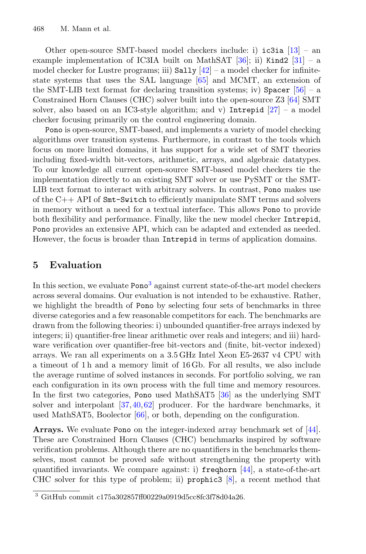Other open-source SMT-based model checkers include: i) ic3ia [\[13\]](#page-10-14) – an example implementation of IC3IA built on MathSAT  $[36]$  $[36]$ ; ii) Kind2  $[31]$  $[31]$  – a model checker for Lustre programs; iii)  $Sally \ 42$  – a model checker for infinitestate systems that uses the SAL language [\[65\]](#page-12-22) and MCMT, an extension of the SMT-LIB text format for declaring transition systems; iv) Spacer  $[56]$  $[56]$  – a Constrained Horn Clauses (CHC) solver built into the open-source Z3 [\[64\]](#page-12-24) SMT solver, also based on an IC3-style algorithm; and v) Intrepid  $[27]$  – a model checker focusing primarily on the control engineering domain.

Pono is open-source, SMT-based, and implements a variety of model checking algorithms over transition systems. Furthermore, in contrast to the tools which focus on more limited domains, it has support for a wide set of SMT theories including fixed-width bit-vectors, arithmetic, arrays, and algebraic datatypes. To our knowledge all current open-source SMT-based model checkers tie the implementation directly to an existing SMT solver or use PySMT or the SMT-LIB text format to interact with arbitrary solvers. In contrast, Pono makes use of the C++ API of Smt-Switch to efficiently manipulate SMT terms and solvers in memory without a need for a textual interface. This allows Pono to provide both flexibility and performance. Finally, like the new model checker Intrepid, Pono provides an extensive API, which can be adapted and extended as needed. However, the focus is broader than Intrepid in terms of application domains.

#### **5 Evaluation**

In this section, we evaluate Pono<sup>[3](#page-7-0)</sup> against current state-of-the-art model checkers across several domains. Our evaluation is not intended to be exhaustive. Rather, we highlight the breadth of Pono by selecting four sets of benchmarks in three diverse categories and a few reasonable competitors for each. The benchmarks are drawn from the following theories: i) unbounded quantifier-free arrays indexed by integers; ii) quantifier-free linear arithmetic over reals and integers; and iii) hardware verification over quantifier-free bit-vectors and (finite, bit-vector indexed) arrays. We ran all experiments on a 3.5 GHz Intel Xeon E5-2637 v4 CPU with a timeout of 1 h and a memory limit of 16 Gb. For all results, we also include the average runtime of solved instances in seconds. For portfolio solving, we ran each configuration in its own process with the full time and memory resources. In the first two categories, Pono used MathSAT5 [\[36\]](#page-11-17) as the underlying SMT solver and interpolant [\[37](#page-11-21)[,40](#page-11-22),[62\]](#page-12-10) producer. For the hardware benchmarks, it used MathSAT5, Boolector [\[66\]](#page-12-6), or both, depending on the configuration.

**Arrays.** We evaluate Pono on the integer-indexed array benchmark set of [\[44\]](#page-11-23). These are Constrained Horn Clauses (CHC) benchmarks inspired by software verification problems. Although there are no quantifiers in the benchmarks themselves, most cannot be proved safe without strengthening the property with quantified invariants. We compare against: i) freqhorn [\[44](#page-11-23)], a state-of-the-art CHC solver for this type of problem; ii) prophic3  $[8]$  $[8]$ , a recent method that

<span id="page-7-0"></span> $3$  GitHub commit c175a302857ff00229a0919d5cc8fc3f78d04a26.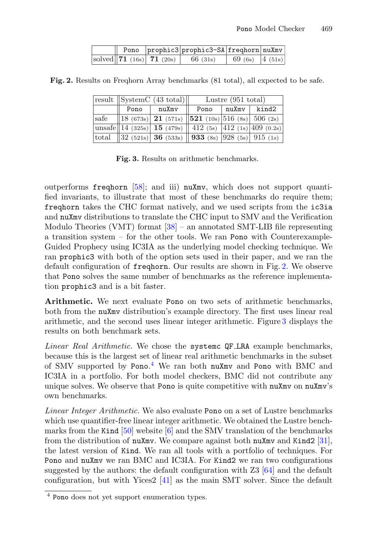<span id="page-8-0"></span>

|  |                              | Pono prophic3 prophic3-SA freqhorn nuXmv |                                |  |
|--|------------------------------|------------------------------------------|--------------------------------|--|
|  | solved 71 $(16s)$ 71 $(20s)$ | 66(31s)                                  | 69 (6s) $\left 4\right.$ (51s) |  |

**Fig. 2.** Results on Freqhorn Array benchmarks (81 total), all expected to be safe.

|      |      | $ \text{result} $ SystemC (43 total)                                       | Lustre $(951$ total) |  |               |  |
|------|------|----------------------------------------------------------------------------|----------------------|--|---------------|--|
|      | Pono | nuXmv                                                                      | Pono                 |  | nuXmv   kind2 |  |
| safe |      | $\ 18 \t(673s) \t21 \t(571s) \t521 \t(10s) \t516 \t(8s) \t506 \t(2s)$      |                      |  |               |  |
|      |      | unsafe  14 (325s)  15 (479s)    412 (5s)    412 (1s)   409 (0.2s)          |                      |  |               |  |
|      |      | total   32 (521s)  <b>36</b> (533s)    <b>933</b> (8s)  928 (5s)  915 (1s) |                      |  |               |  |

<span id="page-8-1"></span>**Fig. 3.** Results on arithmetic benchmarks.

outperforms freqhorn [\[58](#page-12-15)]; and iii) nuXmv, which does not support quantified invariants, to illustrate that most of these benchmarks do require them; freqhorn takes the CHC format natively, and we used scripts from the ic3ia and nuXmv distributions to translate the CHC input to SMV and the Verification Modulo Theories (VMT) format [\[38](#page-11-24)] – an annotated SMT-LIB file representing a transition system – for the other tools. We ran Pono with Counterexample-Guided Prophecy using IC3IA as the underlying model checking technique. We ran prophic3 with both of the option sets used in their paper, and we ran the default configuration of freqhorn. Our results are shown in Fig. [2.](#page-8-0) We observe that Pono solves the same number of benchmarks as the reference implementation prophic3 and is a bit faster.

**Arithmetic.** We next evaluate Pono on two sets of arithmetic benchmarks, both from the nuXmv distribution's example directory. The first uses linear real arithmetic, and the second uses linear integer arithmetic. Figure [3](#page-8-1) displays the results on both benchmark sets.

*Linear Real Arithmetic.* We chose the systemc QF LRA example benchmarks, because this is the largest set of linear real arithmetic benchmarks in the subset of SMV supported by Pono. [4](#page-8-2) We ran both nuXmv and Pono with BMC and IC3IA in a portfolio. For both model checkers, BMC did not contribute any unique solves. We observe that Pono is quite competitive with nuXmv on nuXmv's own benchmarks.

*Linear Integer Arithmetic.* We also evaluate Pono on a set of Lustre benchmarks which use quantifier-free linear integer arithmetic. We obtained the Lustre benchmarks from the Kind  $[50]$  $[50]$  website  $[6]$  and the SMV translation of the benchmarks from the distribution of nuXmv. We compare against both nuXmv and Kind2 [\[31\]](#page-11-4), the latest version of Kind. We ran all tools with a portfolio of techniques. For Pono and nuXmv we ran BMC and IC3IA. For Kind2 we ran two configurations suggested by the authors: the default configuration with Z3 [\[64](#page-12-24)] and the default configuration, but with Yices2  $[41]$  $[41]$  as the main SMT solver. Since the default

<span id="page-8-2"></span><sup>4</sup> Pono does not yet support enumeration types.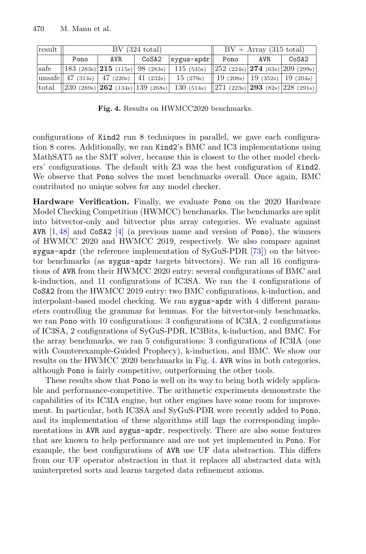| result | BV (324 total) |      |       |                                                                                                                                                     | $BV + Array (315 total)$ |      |       |
|--------|----------------|------|-------|-----------------------------------------------------------------------------------------------------------------------------------------------------|--------------------------|------|-------|
|        | Pono           | AVR. | CoSA2 | $ $ sygus-apdr $  $                                                                                                                                 | Pono                     | AVR. | CoSA2 |
|        |                |      |       | $\begin{bmatrix} \text{safe} \\ \text{safe} \end{bmatrix}$ 183 (283s) <b>215</b> (115s) 98 (283s) 115 (545s) 252 (224s) <b>274</b> (63s) 209 (299s) |                          |      |       |
|        |                |      |       | unsafe   47 (314s)   47 (220s)   41 (232s)   15 (279s)    19 (208s)   19 (352s)   19 (204s)                                                         |                          |      |       |
|        |                |      |       | [total   230 (289s) $\boxed{262}$ (134s)  139 (268s)   130 (514s)   271 (223s)  293 (82s)  228 (291s)                                               |                          |      |       |

<span id="page-9-0"></span>**Fig. 4.** Results on HWMCC2020 benchmarks.

configurations of Kind2 run 8 techniques in parallel, we gave each configuration 8 cores. Additionally, we ran Kind2's BMC and IC3 implementations using MathSAT5 as the SMT solver, because this is closest to the other model checkers' configurations. The default with Z3 was the best configuration of Kind2. We observe that Pono solves the most benchmarks overall. Once again, BMC contributed no unique solves for any model checker.

**Hardware Verification.** Finally, we evaluate Pono on the 2020 Hardware Model Checking Competition (HWMCC) benchmarks. The benchmarks are split into bitvector-only and bitvector plus array categories. We evaluate against AVR  $[1,48]$  $[1,48]$  $[1,48]$  and CoSA2  $[4]$  $[4]$  (a previous name and version of Pono), the winners of HWMCC 2020 and HWMCC 2019, respectively. We also compare against sygus-apdr (the reference implementation of SyGuS-PDR [\[73\]](#page-13-2)) on the bitvector benchmarks (as sygus-apdr targets bitvectors). We ran all 16 configurations of AVR from their HWMCC 2020 entry: several configurations of BMC and k-induction, and 11 configurations of IC3SA. We ran the 4 configurations of CoSA2 from the HWMCC 2019 entry: two BMC configurations, k-induction, and interpolant-based model checking. We ran sygus-apdr with 4 different parameters controlling the grammar for lemmas. For the bitvector-only benchmarks, we ran Pono with 10 configurations: 3 configurations of IC3IA, 2 configurations of IC3SA, 2 configurations of SyGuS-PDR, IC3Bits, k-induction, and BMC. For the array benchmarks, we ran 5 configurations: 3 configurations of IC3IA (one with Counterexample-Guided Prophecy), k-induction, and BMC. We show our results on the HWMCC 2020 benchmarks in Fig. [4.](#page-9-0) AVR wins in both categories, although Pono is fairly competitive, outperforming the other tools.

These results show that Pono is well on its way to being both widely applicable and performance-competitive. The arithmetic experiments demonstrate the capabilities of its IC3IA engine, but other engines have some room for improvement. In particular, both IC3SA and SyGuS-PDR were recently added to Pono, and its implementation of these algorithms still lags the corresponding implementations in AVR and sygus-apdr, respectively. There are also some features that are known to help performance and are not yet implemented in Pono. For example, the best configurations of AVR use UF data abstraction. This differs from our UF operator abstraction in that it replaces all abstracted data with uninterpreted sorts and learns targeted data refinement axioms.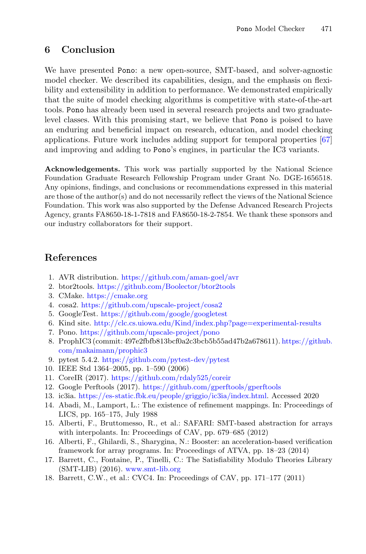## **6 Conclusion**

We have presented Pono: a new open-source, SMT-based, and solver-agnostic model checker. We described its capabilities, design, and the emphasis on flexibility and extensibility in addition to performance. We demonstrated empirically that the suite of model checking algorithms is competitive with state-of-the-art tools. Pono has already been used in several research projects and two graduatelevel classes. With this promising start, we believe that Pono is poised to have an enduring and beneficial impact on research, education, and model checking applications. Future work includes adding support for temporal properties [\[67\]](#page-12-16) and improving and adding to Pono's engines, in particular the IC3 variants.

**Acknowledgements.** This work was partially supported by the National Science Foundation Graduate Research Fellowship Program under Grant No. DGE-1656518. Any opinions, findings, and conclusions or recommendations expressed in this material are those of the author(s) and do not necessarily reflect the views of the National Science Foundation. This work was also supported by the Defense Advanced Research Projects Agency, grants FA8650-18-1-7818 and FA8650-18-2-7854. We thank these sponsors and our industry collaborators for their support.

## **References**

- <span id="page-10-11"></span>1. AVR distribution. <https://github.com/aman-goel/avr>
- <span id="page-10-2"></span>2. btor2tools. <https://github.com/Boolector/btor2tools>
- <span id="page-10-6"></span>3. CMake. <https://cmake.org>
- <span id="page-10-17"></span>4. cosa2. <https://github.com/upscale-project/cosa2>
- <span id="page-10-7"></span>5. GoogleTest. <https://github.com/google/googletest>
- <span id="page-10-16"></span>6. Kind site. <http://clc.cs.uiowa.edu/Kind/index.php?page=experimental-results>
- <span id="page-10-0"></span>7. Pono. <https://github.com/upscale-project/pono>
- <span id="page-10-15"></span>8. ProphIC3 (commit: 497e2fbfb813bcf0a2c3bcb5b55ad47b2a678611). [https://github.](https://github.com/makaimann/prophic3) [com/makaimann/prophic3](https://github.com/makaimann/prophic3)
- <span id="page-10-9"></span>9. pytest 5.4.2. <https://github.com/pytest-dev/pytest>
- <span id="page-10-4"></span>10. IEEE Std 1364–2005, pp. 1–590 (2006)
- <span id="page-10-3"></span>11. CoreIR (2017). <https://github.com/rdaly525/coreir>
- <span id="page-10-8"></span>12. Google Perftools (2017). <https://github.com/gperftools/gperftools>
- <span id="page-10-14"></span>13. ic3ia. [https://es-static.fbk.eu/people/griggio/ic3ia/index.html.](https://es-static.fbk.eu/people/griggio/ic3ia/index.html) Accessed 2020
- <span id="page-10-5"></span>14. Abadi, M., Lamport, L.: The existence of refinement mappings. In: Proceedings of LICS, pp. 165–175, July 1988
- <span id="page-10-12"></span>15. Alberti, F., Bruttomesso, R., et al.: SAFARI: SMT-based abstraction for arrays with interpolants. In: Proceedings of CAV, pp. 679–685 (2012)
- <span id="page-10-13"></span>16. Alberti, F., Ghilardi, S., Sharygina, N.: Booster: an acceleration-based verification framework for array programs. In: Proceedings of ATVA, pp. 18–23 (2014)
- <span id="page-10-1"></span>17. Barrett, C., Fontaine, P., Tinelli, C.: The Satisfiability Modulo Theories Library (SMT-LIB) (2016). <www.smt-lib.org>
- <span id="page-10-10"></span>18. Barrett, C.W., et al.: CVC4. In: Proceedings of CAV, pp. 171–177 (2011)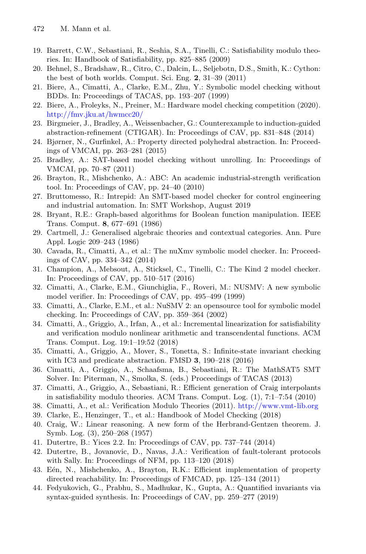- <span id="page-11-6"></span>19. Barrett, C.W., Sebastiani, R., Seshia, S.A., Tinelli, C.: Satisfiability modulo theories. In: Handbook of Satisfiability, pp. 825–885 (2009)
- <span id="page-11-8"></span>20. Behnel, S., Bradshaw, R., Citro, C., Dalcin, L., Seljebotn, D.S., Smith, K.: Cython: the best of both worlds. Comput. Sci. Eng. **2**, 31–39 (2011)
- <span id="page-11-9"></span>21. Biere, A., Cimatti, A., Clarke, E.M., Zhu, Y.: Symbolic model checking without BDDs. In: Proceedings of TACAS, pp. 193–207 (1999)
- <span id="page-11-7"></span>22. Biere, A., Froleyks, N., Preiner, M.: Hardware model checking competition (2020). <http://fmv.jku.at/hwmcc20/>
- <span id="page-11-12"></span>23. Birgmeier, J., Bradley, A., Weissenbacher, G.: Counterexample to induction-guided abstraction-refinement (CTIGAR). In: Proceedings of CAV, pp. 831–848 (2014)
- <span id="page-11-2"></span>24. Bjørner, N., Gurfinkel, A.: Property directed polyhedral abstraction. In: Proceedings of VMCAI, pp. 263–281 (2015)
- <span id="page-11-10"></span>25. Bradley, A.: SAT-based model checking without unrolling. In: Proceedings of VMCAI, pp. 70–87 (2011)
- <span id="page-11-18"></span>26. Brayton, R., Mishchenko, A.: ABC: An academic industrial-strength verification tool. In: Proceedings of CAV, pp. 24–40 (2010)
- <span id="page-11-20"></span>27. Bruttomesso, R.: Intrepid: An SMT-based model checker for control engineering and industrial automation. In: SMT Workshop, August 2019
- <span id="page-11-1"></span>28. Bryant, R.E.: Graph-based algorithms for Boolean function manipulation. IEEE Trans. Comput. **8**, 677–691 (1986)
- <span id="page-11-14"></span>29. Cartmell, J.: Generalised algebraic theories and contextual categories. Ann. Pure Appl. Logic 209–243 (1986)
- <span id="page-11-3"></span>30. Cavada, R., Cimatti, A., et al.: The nuXmv symbolic model checker. In: Proceedings of CAV, pp. 334–342 (2014)
- <span id="page-11-4"></span>31. Champion, A., Mebsout, A., Sticksel, C., Tinelli, C.: The Kind 2 model checker. In: Proceedings of CAV, pp. 510–517 (2016)
- <span id="page-11-15"></span>32. Cimatti, A., Clarke, E.M., Giunchiglia, F., Roveri, M.: NUSMV: A new symbolic model verifier. In: Proceedings of CAV, pp. 495–499 (1999)
- <span id="page-11-16"></span>33. Cimatti, A., Clarke, E.M., et al.: NuSMV 2: an opensource tool for symbolic model checking. In: Proceedings of CAV, pp. 359–364 (2002)
- <span id="page-11-13"></span>34. Cimatti, A., Griggio, A., Irfan, A., et al.: Incremental linearization for satisfiability and verification modulo nonlinear arithmetic and transcendental functions. ACM Trans. Comput. Log. 19:1–19:52 (2018)
- <span id="page-11-5"></span>35. Cimatti, A., Griggio, A., Mover, S., Tonetta, S.: Infinite-state invariant checking with IC3 and predicate abstraction. FMSD **3**, 190–218 (2016)
- <span id="page-11-17"></span>36. Cimatti, A., Griggio, A., Schaafsma, B., Sebastiani, R.: The MathSAT5 SMT Solver. In: Piterman, N., Smolka, S. (eds.) Proceedings of TACAS (2013)
- <span id="page-11-21"></span>37. Cimatti, A., Griggio, A., Sebastiani, R.: Efficient generation of Craig interpolants in satisfiability modulo theories. ACM Trans. Comput. Log. (1), 7:1–7:54 (2010)
- <span id="page-11-24"></span>38. Cimatti, A., et al.: Verification Modulo Theories (2011). <http://www.vmt-lib.org>
- <span id="page-11-0"></span>39. Clarke, E., Henzinger, T., et al.: Handbook of Model Checking (2018)
- <span id="page-11-22"></span>40. Craig, W.: Linear reasoning. A new form of the Herbrand-Gentzen theorem. J. Symb. Log. (3), 250–268 (1957)
- <span id="page-11-25"></span>41. Dutertre, B.: Yices 2.2. In: Proceedings of CAV, pp. 737–744 (2014)
- <span id="page-11-19"></span>42. Dutertre, B., Jovanovic, D., Navas, J.A.: Verification of fault-tolerant protocols with Sally. In: Proceedings of NFM, pp. 113–120 (2018)
- <span id="page-11-11"></span>43. Eén, N., Mishchenko, A., Brayton, R.K.: Efficient implementation of property directed reachability. In: Proceedings of FMCAD, pp. 125–134 (2011)
- <span id="page-11-23"></span>44. Fedyukovich, G., Prabhu, S., Madhukar, K., Gupta, A.: Quantified invariants via syntax-guided synthesis. In: Proceedings of CAV, pp. 259–277 (2019)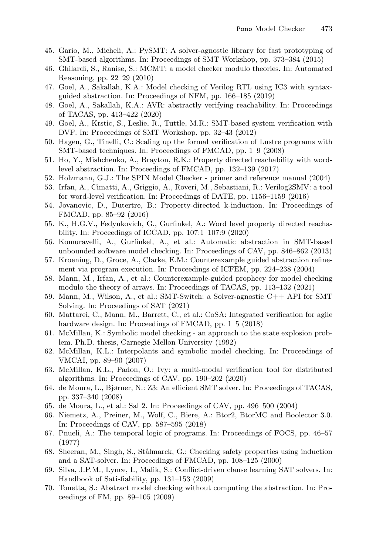- <span id="page-12-19"></span>45. Gario, M., Micheli, A.: PySMT: A solver-agnostic library for fast prototyping of SMT-based algorithms. In: Proceedings of SMT Workshop, pp. 373–384 (2015)
- <span id="page-12-2"></span>46. Ghilardi, S., Ranise, S.: MCMT: a model checker modulo theories. In: Automated Reasoning, pp. 22–29 (2010)
- <span id="page-12-5"></span>47. Goel, A., Sakallah, K.A.: Model checking of Verilog RTL using IC3 with syntaxguided abstraction. In: Proceedings of NFM, pp. 166–185 (2019)
- <span id="page-12-20"></span>48. Goel, A., Sakallah, K.A.: AVR: abstractly verifying reachability. In: Proceedings of TACAS, pp. 413–422 (2020)
- <span id="page-12-21"></span>49. Goel, A., Krstic, S., Leslie, R., Tuttle, M.R.: SMT-based system verification with DVF. In: Proceedings of SMT Workshop, pp. 32–43 (2012)
- <span id="page-12-25"></span>50. Hagen, G., Tinelli, C.: Scaling up the formal verification of Lustre programs with SMT-based techniques. In: Proceedings of FMCAD, pp. 1–9 (2008)
- <span id="page-12-11"></span>51. Ho, Y., Mishchenko, A., Brayton, R.K.: Property directed reachability with wordlevel abstraction. In: Proceedings of FMCAD, pp. 132–139 (2017)
- <span id="page-12-17"></span>52. Holzmann, G.J.: The SPIN Model Checker - primer and reference manual (2004)
- <span id="page-12-7"></span>53. Irfan, A., Cimatti, A., Griggio, A., Roveri, M., Sebastiani, R.: Verilog2SMV: a tool for word-level verification. In: Proceedings of DATE, pp. 1156–1159 (2016)
- <span id="page-12-12"></span>54. Jovanovic, D., Dutertre, B.: Property-directed k-induction. In: Proceedings of FMCAD, pp. 85–92 (2016)
- <span id="page-12-13"></span>55. K., H.G.V., Fedyukovich, G., Gurfinkel, A.: Word level property directed reachability. In: Proceedings of ICCAD, pp. 107:1–107:9 (2020)
- <span id="page-12-23"></span>56. Komuravelli, A., Gurfinkel, A., et al.: Automatic abstraction in SMT-based unbounded software model checking. In: Proceedings of CAV, pp. 846–862 (2013)
- <span id="page-12-14"></span>57. Kroening, D., Groce, A., Clarke, E.M.: Counterexample guided abstraction refinement via program execution. In: Proceedings of ICFEM, pp. 224–238 (2004)
- <span id="page-12-15"></span>58. Mann, M., Irfan, A., et al.: Counterexample-guided prophecy for model checking modulo the theory of arrays. In: Proceedings of TACAS, pp. 113–132 (2021)
- <span id="page-12-4"></span>59. Mann, M., Wilson, A., et al.: SMT-Switch: a Solver-agnostic C++ API for SMT Solving. In: Proceedings of SAT (2021)
- <span id="page-12-18"></span>60. Mattarei, C., Mann, M., Barrett, C., et al.: CoSA: Integrated verification for agile hardware design. In: Proceedings of FMCAD, pp. 1–5 (2018)
- <span id="page-12-0"></span>61. McMillan, K.: Symbolic model checking - an approach to the state explosion problem. Ph.D. thesis, Carnegie Mellon University (1992)
- <span id="page-12-10"></span>62. McMillan, K.L.: Interpolants and symbolic model checking. In: Proceedings of VMCAI, pp. 89–90 (2007)
- <span id="page-12-3"></span>63. McMillan, K.L., Padon, O.: Ivy: a multi-modal verification tool for distributed algorithms. In: Proceedings of CAV, pp. 190–202 (2020)
- <span id="page-12-24"></span>64. de Moura, L., Bjørner, N.: Z3: An efficient SMT solver. In: Proceedings of TACAS, pp. 337–340 (2008)
- <span id="page-12-22"></span>65. de Moura, L., et al.: Sal 2. In: Proceedings of CAV, pp. 496–500 (2004)
- <span id="page-12-6"></span>66. Niemetz, A., Preiner, M., Wolf, C., Biere, A.: Btor2, BtorMC and Boolector 3.0. In: Proceedings of CAV, pp. 587–595 (2018)
- <span id="page-12-16"></span>67. Pnueli, A.: The temporal logic of programs. In: Proceedings of FOCS, pp. 46–57 (1977)
- <span id="page-12-9"></span>68. Sheeran, M., Singh, S., Stålmarck, G.: Checking safety properties using induction and a SAT-solver. In: Proceedings of FMCAD, pp. 108–125 (2000)
- <span id="page-12-1"></span>69. Silva, J.P.M., Lynce, I., Malik, S.: Conflict-driven clause learning SAT solvers. In: Handbook of Satisfiability, pp. 131–153 (2009)
- <span id="page-12-8"></span>70. Tonetta, S.: Abstract model checking without computing the abstraction. In: Proceedings of FM, pp. 89–105 (2009)